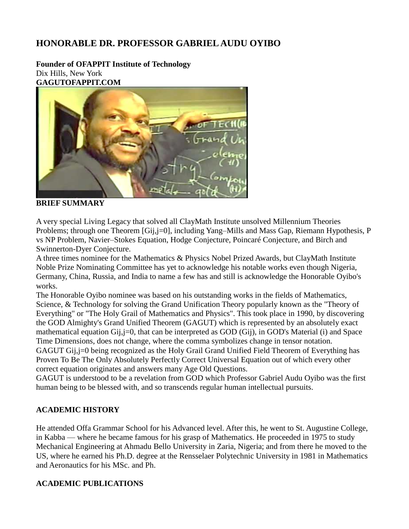## **HONORABLE DR. PROFESSOR GABRIEL AUDU OYIBO**

**Founder of OFAPPIT Institute of Technology** Dix Hills, New York **GAGUTOFAPPIT.COM**



**BRIEF SUMMARY**

A very special Living Legacy that solved all ClayMath Institute unsolved Millennium Theories Problems; through one Theorem [Gij,j=0], including Yang–Mills and Mass Gap, Riemann Hypothesis, P vs NP Problem, Navier–Stokes Equation, Hodge Conjecture, Poincaré Conjecture, and Birch and Swinnerton-Dyer Conjecture.

A three times nominee for the Mathematics & Physics Nobel Prized Awards, but ClayMath Institute Noble Prize Nominating Committee has yet to acknowledge his notable works even though Nigeria, Germany, China, Russia, and India to name a few has and still is acknowledge the Honorable Oyibo's works.

The Honorable Oyibo nominee was based on his outstanding works in the fields of Mathematics, Science, & Technology for solving the Grand Unification Theory popularly known as the "Theory of Everything" or "The Holy Grail of Mathematics and Physics". This took place in 1990, by discovering the GOD Almighty's Grand Unified Theorem (GAGUT) which is represented by an absolutely exact mathematical equation Gij,j=0, that can be interpreted as GOD (Gij), in GOD's Material (i) and Space Time Dimensions, does not change, where the comma symbolizes change in tensor notation. GAGUT Gij,j=0 being recognized as the Holy Grail Grand Unified Field Theorem of Everything has

Proven To Be The Only Absolutely Perfectly Correct Universal Equation out of which every other correct equation originates and answers many Age Old Questions.

GAGUT is understood to be a revelation from GOD which Professor Gabriel Audu Oyibo was the first human being to be blessed with, and so transcends regular human intellectual pursuits.

#### **ACADEMIC HISTORY**

He attended Offa Grammar School for his Advanced level. After this, he went to St. Augustine College, in Kabba — where he became famous for his grasp of Mathematics. He proceeded in 1975 to study Mechanical Engineering at Ahmadu Bello University in Zaria, Nigeria; and from there he moved to the US, where he earned his Ph.D. degree at the Rensselaer Polytechnic University in 1981 in Mathematics and Aeronautics for his MSc. and Ph.

#### **ACADEMIC PUBLICATIONS**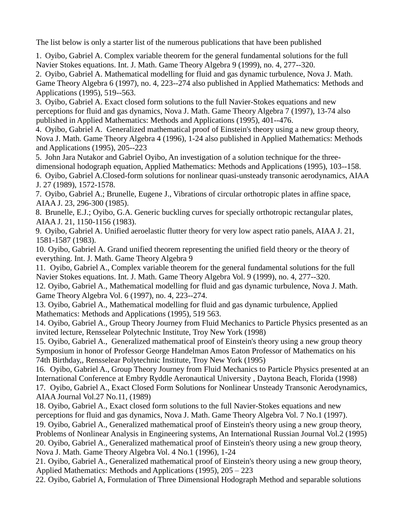The list below is only a starter list of the numerous publications that have been published

1. Oyibo, Gabriel A. Complex variable theorem for the general fundamental solutions for the full Navier Stokes equations. Int. J. Math. Game Theory Algebra 9 (1999), no. 4, 277--320.

2. Oyibo, Gabriel A. Mathematical modelling for fluid and gas dynamic turbulence, Nova J. Math. Game Theory Algebra 6 (1997), no. 4, 223--274 also published in Applied Mathematics: Methods and Applications (1995), 519--563.

3. Oyibo, Gabriel A. Exact closed form solutions to the full Navier-Stokes equations and new perceptions for fluid and gas dynamics, Nova J. Math. Game Theory Algebra 7 (1997), 13-74 also published in Applied Mathematics: Methods and Applications (1995), 401--476.

4. Oyibo, Gabriel A. Generalized mathematical proof of Einstein's theory using a new group theory, Nova J. Math. Game Theory Algebra 4 (1996), 1-24 also published in Applied Mathematics: Methods and Applications (1995), 205--223

5. John Jara Nutakor and Gabriel Oyibo, An investigation of a solution technique for the threedimensional hodograph equation, Applied Mathematics: Methods and Applications (1995), 103--158. 6. Oyibo, Gabriel A.Closed-form solutions for nonlinear quasi-unsteady transonic aerodynamics, AIAA J. 27 (1989), 1572-1578.

7. Oyibo, Gabriel A.; Brunelle, Eugene J., Vibrations of circular orthotropic plates in affine space, AIAA J. 23, 296-300 (1985).

8. Brunelle, E.J.; Oyibo, G.A. Generic buckling curves for specially orthotropic rectangular plates, AIAA J. 21, 1150-1156 (1983).

9. Oyibo, Gabriel A. Unified aeroelastic flutter theory for very low aspect ratio panels, AIAA J. 21, 1581-1587 (1983).

10. Oyibo, Gabriel A. Grand unified theorem representing the unified field theory or the theory of everything. Int. J. Math. Game Theory Algebra 9

11. Oyibo, Gabriel A., Complex variable theorem for the general fundamental solutions for the full Navier Stokes equations. Int. J. Math. Game Theory Algebra Vol. 9 (1999), no. 4, 277--320.

12. Oyibo, Gabriel A., Mathematical modelling for fluid and gas dynamic turbulence, Nova J. Math. Game Theory Algebra Vol. 6 (1997), no. 4, 223--274.

13. Oyibo, Gabriel A., Mathematical modelling for fluid and gas dynamic turbulence, Applied Mathematics: Methods and Applications (1995), 519 563.

14. Oyibo, Gabriel A., Group Theory Journey from Fluid Mechanics to Particle Physics presented as an invited lecture, Rensselear Polytechnic Institute, Troy New York (1998)

15. Oyibo, Gabriel A., Generalized mathematical proof of Einstein's theory using a new group theory Symposium in honor of Professor George Handelman Amos Eaton Professor of Mathematics on his 74th Birthday,, Rensselear Polytechnic Institute, Troy New York (1995)

16. Oyibo, Gabriel A., Group Theory Journey from Fluid Mechanics to Particle Physics presented at an International Conference at Embry Ryddle Aeronautical University , Daytona Beach, Florida (1998) 17. Oyibo, Gabriel A., Exact Closed Form Solutions for Nonlinear Unsteady Transonic Aerodynamics, AIAA Journal Vol.27 No.11, (1989)

18. Oyibo, Gabriel A., Exact closed form solutions to the full Navier-Stokes equations and new perceptions for fluid and gas dynamics, Nova J. Math. Game Theory Algebra Vol. 7 No.1 (1997). 19. Oyibo, Gabriel A., Generalized mathematical proof of Einstein's theory using a new group theory, Problems of Nonlinear Analysis in Engineering systems, An International Russian Journal Vol.2 (1995) 20. Oyibo, Gabriel A., Generalized mathematical proof of Einstein's theory using a new group theory, Nova J. Math. Game Theory Algebra Vol. 4 No.1 (1996), 1-24

21. Oyibo, Gabriel A., Generalized mathematical proof of Einstein's theory using a new group theory, Applied Mathematics: Methods and Applications (1995), 205 – 223

22. Oyibo, Gabriel A, Formulation of Three Dimensional Hodograph Method and separable solutions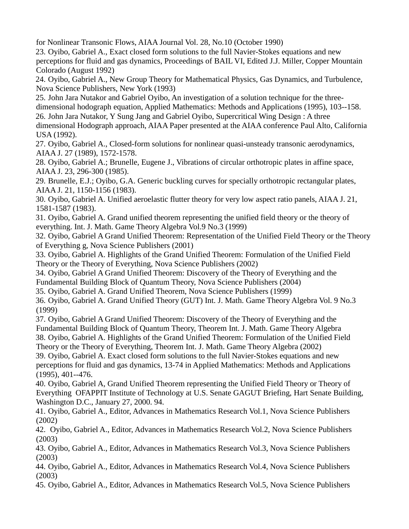for Nonlinear Transonic Flows, AIAA Journal Vol. 28, No.10 (October 1990)

23. Oyibo, Gabriel A., Exact closed form solutions to the full Navier-Stokes equations and new perceptions for fluid and gas dynamics, Proceedings of BAIL VI, Edited J.J. Miller, Copper Mountain Colorado (August 1992)

24. Oyibo, Gabriel A., New Group Theory for Mathematical Physics, Gas Dynamics, and Turbulence, Nova Science Publishers, New York (1993)

25. John Jara Nutakor and Gabriel Oyibo, An investigation of a solution technique for the threedimensional hodograph equation, Applied Mathematics: Methods and Applications (1995), 103--158. 26. John Jara Nutakor, Y Sung Jang and Gabriel Oyibo, Supercritical Wing Design : A three dimensional Hodograph approach, AIAA Paper presented at the AIAA conference Paul Alto, California USA (1992).

27. Oyibo, Gabriel A., Closed-form solutions for nonlinear quasi-unsteady transonic aerodynamics, AIAA J. 27 (1989), 1572-1578.

28. Oyibo, Gabriel A.; Brunelle, Eugene J., Vibrations of circular orthotropic plates in affine space, AIAA J. 23, 296-300 (1985).

29. Brunelle, E.J.; Oyibo, G.A. Generic buckling curves for specially orthotropic rectangular plates, AIAA J. 21, 1150-1156 (1983).

30. Oyibo, Gabriel A. Unified aeroelastic flutter theory for very low aspect ratio panels, AIAA J. 21, 1581-1587 (1983).

31. Oyibo, Gabriel A. Grand unified theorem representing the unified field theory or the theory of everything. Int. J. Math. Game Theory Algebra Vol.9 No.3 (1999)

32. Oyibo, Gabriel A Grand Unified Theorem: Representation of the Unified Field Theory or the Theory of Everything g, Nova Science Publishers (2001)

33. Oyibo, Gabriel A. Highlights of the Grand Unified Theorem: Formulation of the Unified Field Theory or the Theory of Everything, Nova Science Publishers (2002)

34. Oyibo, Gabriel A Grand Unified Theorem: Discovery of the Theory of Everything and the Fundamental Building Block of Quantum Theory, Nova Science Publishers (2004)

35. Oyibo, Gabriel A. Grand Unified Theorem, Nova Science Publishers (1999)

36. Oyibo, Gabriel A. Grand Unified Theory (GUT) Int. J. Math. Game Theory Algebra Vol. 9 No.3 (1999)

37. Oyibo, Gabriel A Grand Unified Theorem: Discovery of the Theory of Everything and the Fundamental Building Block of Quantum Theory, Theorem Int. J. Math. Game Theory Algebra 38. Oyibo, Gabriel A. Highlights of the Grand Unified Theorem: Formulation of the Unified Field

Theory or the Theory of Everything, Theorem Int. J. Math. Game Theory Algebra (2002)

39. Oyibo, Gabriel A. Exact closed form solutions to the full Navier-Stokes equations and new perceptions for fluid and gas dynamics, 13-74 in Applied Mathematics: Methods and Applications (1995), 401--476.

40. Oyibo, Gabriel A, Grand Unified Theorem representing the Unified Field Theory or Theory of Everything OFAPPIT Institute of Technology at U.S. Senate GAGUT Briefing, Hart Senate Building, Washington D.C., January 27, 2000. 94.

41. Oyibo, Gabriel A., Editor, Advances in Mathematics Research Vol.1, Nova Science Publishers (2002)

42. Oyibo, Gabriel A., Editor, Advances in Mathematics Research Vol.2, Nova Science Publishers (2003)

43. Oyibo, Gabriel A., Editor, Advances in Mathematics Research Vol.3, Nova Science Publishers (2003)

44. Oyibo, Gabriel A., Editor, Advances in Mathematics Research Vol.4, Nova Science Publishers (2003)

45. Oyibo, Gabriel A., Editor, Advances in Mathematics Research Vol.5, Nova Science Publishers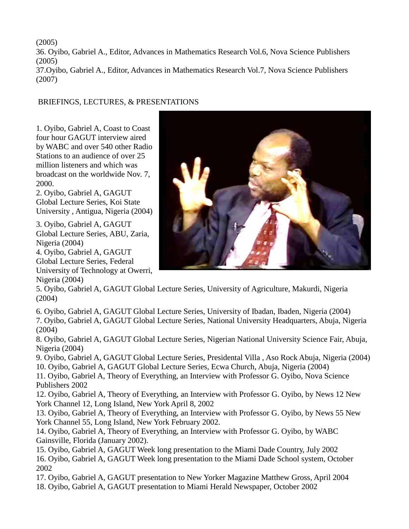(2005) 36. Oyibo, Gabriel A., Editor, Advances in Mathematics Research Vol.6, Nova Science Publishers (2005) 37.Oyibo, Gabriel A., Editor, Advances in Mathematics Research Vol.7, Nova Science Publishers (2007)

#### BRIEFINGS, LECTURES, & PRESENTATIONS

1. Oyibo, Gabriel A, Coast to Coast four hour GAGUT interview aired by WABC and over 540 other Radio Stations to an audience of over 25 million listeners and which was broadcast on the worldwide Nov. 7, 2000.

2. Oyibo, Gabriel A, GAGUT Global Lecture Series, Koi State University , Antigua, Nigeria (2004)

3. Oyibo, Gabriel A, GAGUT Global Lecture Series, ABU, Zaria, Nigeria (2004)

4. Oyibo, Gabriel A, GAGUT Global Lecture Series, Federal University of Technology at Owerri, Nigeria (2004)



5. Oyibo, Gabriel A, GAGUT Global Lecture Series, University of Agriculture, Makurdi, Nigeria (2004)

6. Oyibo, Gabriel A, GAGUT Global Lecture Series, University of Ibadan, Ibaden, Nigeria (2004) 7. Oyibo, Gabriel A, GAGUT Global Lecture Series, National University Headquarters, Abuja, Nigeria (2004)

8. Oyibo, Gabriel A, GAGUT Global Lecture Series, Nigerian National University Science Fair, Abuja, Nigeria (2004)

9. Oyibo, Gabriel A, GAGUT Global Lecture Series, Presidental Villa , Aso Rock Abuja, Nigeria (2004) 10. Oyibo, Gabriel A, GAGUT Global Lecture Series, Ecwa Church, Abuja, Nigeria (2004)

11. Oyibo, Gabriel A, Theory of Everything, an Interview with Professor G. Oyibo, Nova Science Publishers 2002

12. Oyibo, Gabriel A, Theory of Everything, an Interview with Professor G. Oyibo, by News 12 New York Channel 12, Long Island, New York April 8, 2002

13. Oyibo, Gabriel A, Theory of Everything, an Interview with Professor G. Oyibo, by News 55 New York Channel 55, Long Island, New York February 2002.

14. Oyibo, Gabriel A, Theory of Everything, an Interview with Professor G. Oyibo, by WABC Gainsville, Florida (January 2002).

15. Oyibo, Gabriel A, GAGUT Week long presentation to the Miami Dade Country, July 2002 16. Oyibo, Gabriel A, GAGUT Week long presentation to the Miami Dade School system, October 2002

17. Oyibo, Gabriel A, GAGUT presentation to New Yorker Magazine Matthew Gross, April 2004 18. Oyibo, Gabriel A, GAGUT presentation to Miami Herald Newspaper, October 2002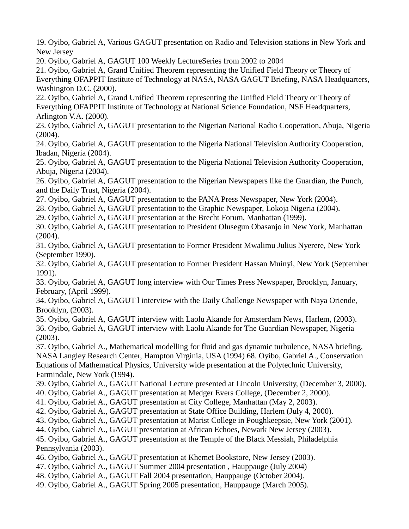19. Oyibo, Gabriel A, Various GAGUT presentation on Radio and Television stations in New York and New Jersey

20. Oyibo, Gabriel A, GAGUT 100 Weekly LectureSeries from 2002 to 2004

21. Oyibo, Gabriel A, Grand Unified Theorem representing the Unified Field Theory or Theory of Everything OFAPPIT Institute of Technology at NASA, NASA GAGUT Briefing, NASA Headquarters, Washington D.C. (2000).

22. Oyibo, Gabriel A, Grand Unified Theorem representing the Unified Field Theory or Theory of Everything OFAPPIT Institute of Technology at National Science Foundation, NSF Headquarters, Arlington V.A. (2000).

23. Oyibo, Gabriel A, GAGUT presentation to the Nigerian National Radio Cooperation, Abuja, Nigeria (2004).

24. Oyibo, Gabriel A, GAGUT presentation to the Nigeria National Television Authority Cooperation, Ibadan, Nigeria (2004).

25. Oyibo, Gabriel A, GAGUT presentation to the Nigeria National Television Authority Cooperation, Abuja, Nigeria (2004).

26. Oyibo, Gabriel A, GAGUT presentation to the Nigerian Newspapers like the Guardian, the Punch, and the Daily Trust, Nigeria (2004).

27. Oyibo, Gabriel A, GAGUT presentation to the PANA Press Newspaper, New York (2004).

28. Oyibo, Gabriel A, GAGUT presentation to the Graphic Newspaper, Lokoja Nigeria (2004).

29. Oyibo, Gabriel A, GAGUT presentation at the Brecht Forum, Manhattan (1999).

30. Oyibo, Gabriel A, GAGUT presentation to President Olusegun Obasanjo in New York, Manhattan (2004).

31. Oyibo, Gabriel A, GAGUT presentation to Former President Mwalimu Julius Nyerere, New York (September 1990).

32. Oyibo, Gabriel A, GAGUT presentation to Former President Hassan Muinyi, New York (September 1991).

33. Oyibo, Gabriel A, GAGUT long interview with Our Times Press Newspaper, Brooklyn, January, February, (April 1999).

34. Oyibo, Gabriel A, GAGUT l interview with the Daily Challenge Newspaper with Naya Oriende, Brooklyn, (2003).

35. Oyibo, Gabriel A, GAGUT interview with Laolu Akande for Amsterdam News, Harlem, (2003). 36. Oyibo, Gabriel A, GAGUT interview with Laolu Akande for The Guardian Newspaper, Nigeria (2003).

37. Oyibo, Gabriel A., Mathematical modelling for fluid and gas dynamic turbulence, NASA briefing, NASA Langley Research Center, Hampton Virginia, USA (1994) 68. Oyibo, Gabriel A., Conservation Equations of Mathematical Physics, University wide presentation at the Polytechnic University, Farmindale, New York (1994).

39. Oyibo, Gabriel A., GAGUT National Lecture presented at Lincoln University, (December 3, 2000).

40. Oyibo, Gabriel A., GAGUT presentation at Medger Evers College, (December 2, 2000).

41. Oyibo, Gabriel A., GAGUT presentation at City College, Manhattan (May 2, 2003).

42. Oyibo, Gabriel A., GAGUT presentation at State Office Building, Harlem (July 4, 2000).

43. Oyibo, Gabriel A., GAGUT presentation at Marist College in Poughkeepsie, New York (2001).

44. Oyibo, Gabriel A., GAGUT presentation at African Echoes, Newark New Jersey (2003).

45. Oyibo, Gabriel A., GAGUT presentation at the Temple of the Black Messiah, Philadelphia Pennsylvania (2003).

46. Oyibo, Gabriel A., GAGUT presentation at Khemet Bookstore, New Jersey (2003).

47. Oyibo, Gabriel A., GAGUT Summer 2004 presentation , Hauppauge (July 2004)

48. Oyibo, Gabriel A., GAGUT Fall 2004 presentation, Hauppauge (October 2004).

49. Oyibo, Gabriel A., GAGUT Spring 2005 presentation, Hauppauge (March 2005).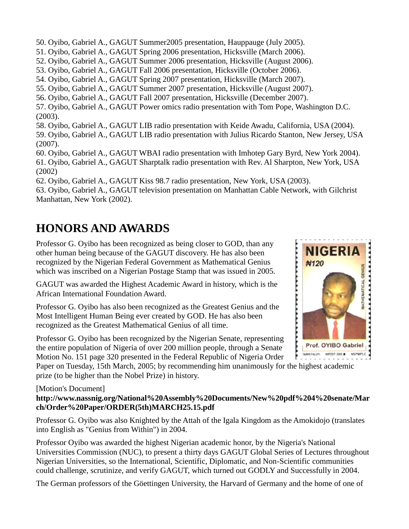50. Oyibo, Gabriel A., GAGUT Summer2005 presentation, Hauppauge (July 2005). 51. Oyibo, Gabriel A., GAGUT Spring 2006 presentation, Hicksville (March 2006). 52. Oyibo, Gabriel A., GAGUT Summer 2006 presentation, Hicksville (August 2006). 53. Oyibo, Gabriel A., GAGUT Fall 2006 presentation, Hicksville (October 2006). 54. Oyibo, Gabriel A., GAGUT Spring 2007 presentation, Hicksville (March 2007). 55. Oyibo, Gabriel A., GAGUT Summer 2007 presentation, Hicksville (August 2007). 56. Oyibo, Gabriel A., GAGUT Fall 2007 presentation, Hicksville (December 2007). 57. Oyibo, Gabriel A., GAGUT Power omics radio presentation with Tom Pope, Washington D.C. (2003). 58. Oyibo, Gabriel A., GAGUT LIB radio presentation with Keide Awadu, California, USA (2004). 59. Oyibo, Gabriel A., GAGUT LIB radio presentation with Julius Ricardo Stanton, New Jersey, USA (2007). 60. Oyibo, Gabriel A., GAGUT WBAI radio presentation with Imhotep Gary Byrd, New York 2004). 61. Oyibo, Gabriel A., GAGUT Sharptalk radio presentation with Rev. Al Sharpton, New York, USA (2002) 62. Oyibo, Gabriel A., GAGUT Kiss 98.7 radio presentation, New York, USA (2003).

63. Oyibo, Gabriel A., GAGUT television presentation on Manhattan Cable Network, with Gilchrist Manhattan, New York (2002).

# **HONORS AND AWARDS**

Professor G. Oyibo has been recognized as being closer to GOD, than any other human being because of the GAGUT discovery. He has also been recognized by the Nigerian Federal Government as Mathematical Genius which was inscribed on a Nigerian Postage Stamp that was issued in 2005.

GAGUT was awarded the Highest Academic Award in history, which is the African International Foundation Award.

Professor G. Oyibo has also been recognized as the Greatest Genius and the Most Intelligent Human Being ever created by GOD. He has also been recognized as the Greatest Mathematical Genius of all time.

Professor G. Oyibo has been recognized by the Nigerian Senate, representing the entire population of Nigeria of over 200 million people, through a Senate Motion No. 151 page 320 presented in the Federal Republic of Nigeria Order

Paper on Tuesday, 15th March, 2005; by recommending him unanimously for the highest academic prize (to be higher than the Nobel Prize) in history.

#### [Motion's Document]

**[http://www.nassnig.org/National%20Assembly%20Documents/New%20pdf%204%20senate/Mar](http://www.nassnig.org/National%20Assembly%20Documents/New%20pdf%204%20senate/March/Order%20Paper/ORDER%285th%29MARCH25.15.pdf) [ch/Order%20Paper/ORDER\(5th\)MARCH25.15.pdf](http://www.nassnig.org/National%20Assembly%20Documents/New%20pdf%204%20senate/March/Order%20Paper/ORDER%285th%29MARCH25.15.pdf)**

Professor G. Oyibo was also Knighted by the Attah of the Igala Kingdom as the Amokidojo (translates into English as "Genius from Within") in 2004.

Professor Oyibo was awarded the highest Nigerian academic honor, by the Nigeria's National Universities Commission (NUC), to present a thirty days GAGUT Global Series of Lectures throughout Nigerian Universities, so the International, Scientific, Diplomatic, and Non-Scientific communities could challenge, scrutinize, and verify GAGUT, which turned out GODLY and Successfully in 2004.

The German professors of the Göettingen University, the Harvard of Germany and the home of one of

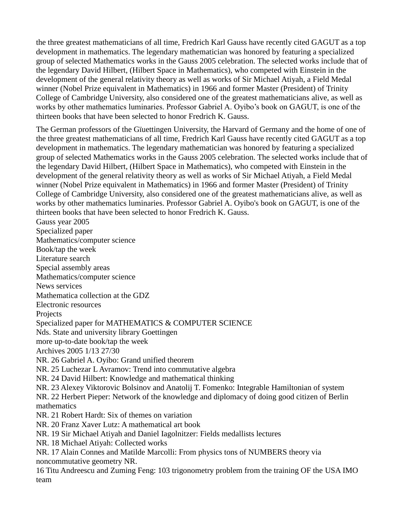the three greatest mathematicians of all time, Fredrich Karl Gauss have recently cited GAGUT as a top development in mathematics. The legendary mathematician was honored by featuring a specialized group of selected Mathematics works in the Gauss 2005 celebration. The selected works include that of the legendary David Hilbert, (Hilbert Space in Mathematics), who competed with Einstein in the development of the general relativity theory as well as works of Sir Michael Atiyah, a Field Medal winner (Nobel Prize equivalent in Mathematics) in 1966 and former Master (President) of Trinity College of Cambridge University, also considered one of the greatest mathematicians alive, as well as works by other mathematics luminaries. Professor Gabriel A. Oyibo's book on GAGUT, is one of the thirteen books that have been selected to honor Fredrich K. Gauss.

The German professors of the Gïuettingen University, the Harvard of Germany and the home of one of the three greatest mathematicians of all time, Fredrich Karl Gauss have recently cited GAGUT as a top development in mathematics. The legendary mathematician was honored by featuring a specialized group of selected Mathematics works in the Gauss 2005 celebration. The selected works include that of the legendary David Hilbert, (Hilbert Space in Mathematics), who competed with Einstein in the development of the general relativity theory as well as works of Sir Michael Atiyah, a Field Medal winner (Nobel Prize equivalent in Mathematics) in 1966 and former Master (President) of Trinity College of Cambridge University, also considered one of the greatest mathematicians alive, as well as works by other mathematics luminaries. Professor Gabriel A. Oyibo's book on GAGUT, is one of the thirteen books that have been selected to honor Fredrich K. Gauss.

Gauss year 2005 Specialized paper Mathematics/computer science Book/tap the week Literature search Special assembly areas Mathematics/computer science News services Mathematica collection at the GDZ Electronic resources **Projects** Specialized paper for MATHEMATICS & COMPUTER SCIENCE Nds. State and university library Goettingen more up-to-date book/tap the week Archives 2005 1/13 27/30 NR. 26 Gabriel A. Oyibo: Grand unified theorem NR. 25 Luchezar L Avramov: Trend into commutative algebra NR. 24 David Hilbert: Knowledge and mathematical thinking NR. 23 Alexey Viktorovic Bolsinov and Anatolij T. Fomenko: Integrable Hamiltonian of system NR. 22 Herbert Pieper: Network of the knowledge and diplomacy of doing good citizen of Berlin mathematics NR. 21 Robert Hardt: Six of themes on variation NR. 20 Franz Xaver Lutz: A mathematical art book NR. 19 Sir Michael Atiyah and Daniel Iagolnitzer: Fields medallists lectures NR. 18 Michael Atiyah: Collected works NR. 17 Alain Connes and Matilde Marcolli: From physics tons of NUMBERS theory via noncommutative geometry NR. 16 Titu Andreescu and Zuming Feng: 103 trigonometry problem from the training OF the USA IMO

team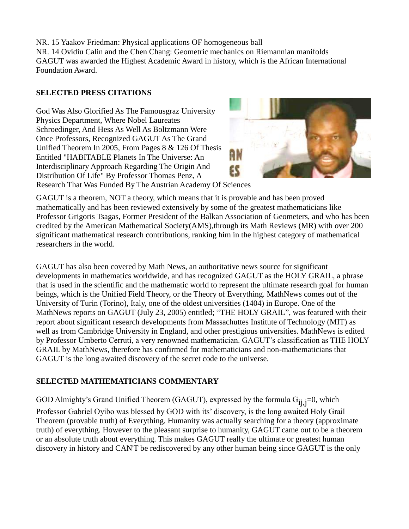NR. 15 Yaakov Friedman: Physical applications OF homogeneous ball NR. 14 Ovidiu Calin and the Chen Chang: Geometric mechanics on Riemannian manifolds GAGUT was awarded the Highest Academic Award in history, which is the African International Foundation Award.

#### **SELECTED PRESS CITATIONS**

God Was Also Glorified As The Famousgraz University Physics Department, Where Nobel Laureates Schroedinger, And Hess As Well As Boltzmann Were Once Professors, Recognized GAGUT As The Grand Unified Theorem In 2005, From Pages 8 & 126 Of Thesis Entitled "HABITABLE Planets In The Universe: An Interdisciplinary Approach Regarding The Origin And Distribution Of Life" By Professor Thomas Penz, A



Research That Was Funded By The Austrian Academy Of Sciences

GAGUT is a theorem, NOT a theory, which means that it is provable and has been proved mathematically and has been reviewed extensively by some of the greatest mathematicians like Professor Grigoris Tsagas, Former President of the Balkan Association of Geometers, and who has been credited by the American Mathematical Society(AMS),through its Math Reviews (MR) with over 200 significant mathematical research contributions, ranking him in the highest category of mathematical researchers in the world.

GAGUT has also been covered by Math News, an authoritative news source for significant developments in mathematics worldwide, and has recognized GAGUT as the HOLY GRAIL, a phrase that is used in the scientific and the mathematic world to represent the ultimate research goal for human beings, which is the Unified Field Theory, or the Theory of Everything. MathNews comes out of the University of Turin (Torino), Italy, one of the oldest universities (1404) in Europe. One of the MathNews reports on GAGUT (July 23, 2005) entitled; "THE HOLY GRAIL", was featured with their report about significant research developments from Massachuttes Institute of Technology (MIT) as well as from Cambridge University in England, and other prestigious universities. MathNews is edited by Professor Umberto Cerruti, a very renowned mathematician. GAGUT's classification as THE HOLY GRAIL by MathNews, therefore has confirmed for mathematicians and non-mathematicians that GAGUT is the long awaited discovery of the secret code to the universe.

### **SELECTED MATHEMATICIANS COMMENTARY**

GOD Almighty's Grand Unified Theorem (GAGUT), expressed by the formula  $G_{ij,j}=0$ , which

Professor Gabriel Oyibo was blessed by GOD with its' discovery, is the long awaited Holy Grail Theorem (provable truth) of Everything. Humanity was actually searching for a theory (approximate truth) of everything. However to the pleasant surprise to humanity, GAGUT came out to be a theorem or an absolute truth about everything. This makes GAGUT really the ultimate or greatest human discovery in history and CAN'T be rediscovered by any other human being since GAGUT is the only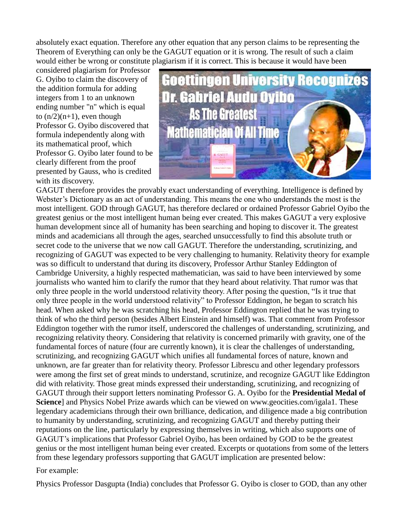absolutely exact equation. Therefore any other equation that any person claims to be representing the Theorem of Everything can only be the GAGUT equation or it is wrong. The result of such a claim would either be wrong or constitute plagiarism if it is correct. This is because it would have been

considered plagiarism for Professor G. Oyibo to claim the discovery of the addition formula for adding integers from 1 to an unknown ending number "n" which is equal to  $(n/2)(n+1)$ , even though Professor G. Oyibo discovered that formula independently along with its mathematical proof, which Professor G. Oyibo later found to be clearly different from the proof presented by Gauss, who is credited with its discovery.



GAGUT therefore provides the provably exact understanding of everything. Intelligence is defined by Webster's Dictionary as an act of understanding. This means the one who understands the most is the most intelligent. GOD through GAGUT, has therefore declared or ordained Professor Gabriel Oyibo the greatest genius or the most intelligent human being ever created. This makes GAGUT a very explosive human development since all of humanity has been searching and hoping to discover it. The greatest minds and academicians all through the ages, searched unsuccessfully to find this absolute truth or secret code to the universe that we now call GAGUT. Therefore the understanding, scrutinizing, and recognizing of GAGUT was expected to be very challenging to humanity. Relativity theory for example was so difficult to understand that during its discovery, Professor Arthur Stanley Eddington of Cambridge University, a highly respected mathematician, was said to have been interviewed by some journalists who wanted him to clarify the rumor that they heard about relativity. That rumor was that only three people in the world understood relativity theory. After posing the question, "Is it true that only three people in the world understood relativity" to Professor Eddington, he began to scratch his head. When asked why he was scratching his head, Professor Eddington replied that he was trying to think of who the third person (besides Albert Einstein and himself) was. That comment from Professor Eddington together with the rumor itself, underscored the challenges of understanding, scrutinizing, and recognizing relativity theory. Considering that relativity is concerned primarily with gravity, one of the fundamental forces of nature (four are currently known), it is clear the challenges of understanding, scrutinizing, and recognizing GAGUT which unifies all fundamental forces of nature, known and unknown, are far greater than for relativity theory. Professor Librescu and other legendary professors were among the first set of great minds to understand, scrutinize, and recognize GAGUT like Eddington did with relativity. Those great minds expressed their understanding, scrutinizing, and recognizing of GAGUT through their support letters nominating Professor G. A. Oyibo for the **[Presidential Medal of](http://en.wikipedia.org/wiki/Presidential_Medal_of_Science)  [Science](http://en.wikipedia.org/wiki/Presidential_Medal_of_Science)**] and Physics Nobel Prize awards which can be viewed on www.geocities.com/igala1. These legendary academicians through their own brilliance, dedication, and diligence made a big contribution to humanity by understanding, scrutinizing, and recognizing GAGUT and thereby putting their reputations on the line, particularly by expressing themselves in writing, which also supports one of GAGUT's implications that Professor Gabriel Oyibo, has been ordained by GOD to be the greatest genius or the most intelligent human being ever created. Excerpts or quotations from some of the letters from these legendary professors supporting that GAGUT implication are presented below:

#### For example:

Physics Professor Dasgupta (India) concludes that Professor G. Oyibo is closer to GOD, than any other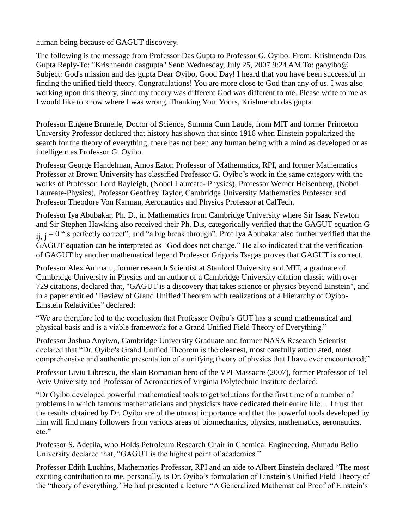human being because of GAGUT discovery.

The following is the message from Professor Das Gupta to Professor G. Oyibo: From: Krishnendu Das Gupta Reply-To: "Krishnendu dasgupta" Sent: Wednesday, July 25, 2007 9:24 AM To: gaoyibo@ Subject: God's mission and das gupta Dear Oyibo, Good Day! I heard that you have been successful in finding the unified field theory. Congratulations! You are more close to God than any of us. I was also working upon this theory, since my theory was different God was different to me. Please write to me as I would like to know where I was wrong. Thanking You. Yours, Krishnendu das gupta

Professor Eugene Brunelle, Doctor of Science, Summa Cum Laude, from MIT and former Princeton University Professor declared that history has shown that since 1916 when Einstein popularized the search for the theory of everything, there has not been any human being with a mind as developed or as intelligent as Professor G. Oyibo.

Professor George Handelman, Amos Eaton Professor of Mathematics, RPI, and former Mathematics Professor at Brown University has classified Professor G. Oyibo's work in the same category with the works of Professor. Lord Rayleigh, (Nobel Laureate- Physics), Professor Werner Heisenberg, (Nobel Laureate-Physics), Professor Geoffrey Taylor, Cambridge University Mathematics Professor and Professor Theodore Von Karman, Aeronautics and Physics Professor at CalTech.

Professor Iya Abubakar, Ph. D., in Mathematics from Cambridge University where Sir Isaac Newton and Sir Stephen Hawking also received their Ph. D.s, categorically verified that the GAGUT equation G  $i,j = 0$  "is perfectly correct", and "a big break through". Prof Iya Abubakar also further verified that the GAGUT equation can be interpreted as "God does not change." He also indicated that the verification of GAGUT by another mathematical legend Professor Grigoris Tsagas proves that GAGUT is correct.

Professor Alex Animalu, former research Scientist at Stanford University and MIT, a graduate of Cambridge University in Physics and an author of a Cambridge University citation classic with over 729 citations, declared that, "GAGUT is a discovery that takes science or physics beyond Einstein", and in a paper entitled "Review of Grand Unified Theorem with realizations of a Hierarchy of Oyibo-Einstein Relativities" declared:

"We are therefore led to the conclusion that Professor Oyibo's GUT has a sound mathematical and physical basis and is a viable framework for a Grand Unified Field Theory of Everything."

Professor Joshua Anyiwo, Cambridge University Graduate and former NASA Research Scientist declared that "Dr. Oyibo's Grand Unified Theorem is the cleanest, most carefully articulated, most comprehensive and authentic presentation of a unifying theory of physics that I have ever encountered;"

Professor Liviu Librescu, the slain Romanian hero of the VPI Massacre (2007), former Professor of Tel Aviv University and Professor of Aeronautics of Virginia Polytechnic Institute declared:

"Dr Oyibo developed powerful mathematical tools to get solutions for the first time of a number of problems in which famous mathematicians and physicists have dedicated their entire life… I trust that the results obtained by Dr. Oyibo are of the utmost importance and that the powerful tools developed by him will find many followers from various areas of biomechanics, physics, mathematics, aeronautics, etc."

Professor S. Adefila, who Holds Petroleum Research Chair in Chemical Engineering, Ahmadu Bello University declared that, "GAGUT is the highest point of academics."

Professor Edith Luchins, Mathematics Professor, RPI and an aide to Albert Einstein declared "The most exciting contribution to me, personally, is Dr. Oyibo's formulation of Einstein's Unified Field Theory of the "theory of everything.' He had presented a lecture "A Generalized Mathematical Proof of Einstein's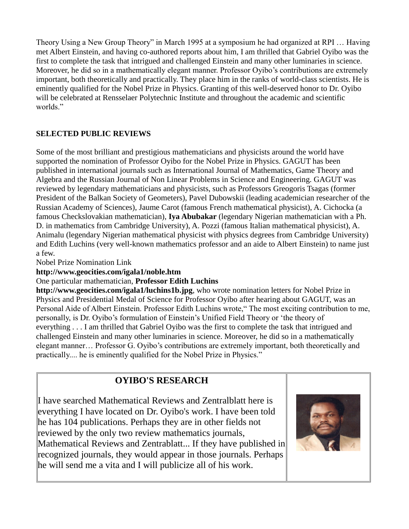Theory Using a New Group Theory" in March 1995 at a symposium he had organized at RPI … Having met Albert Einstein, and having co-authored reports about him, I am thrilled that Gabriel Oyibo was the first to complete the task that intrigued and challenged Einstein and many other luminaries in science. Moreover, he did so in a mathematically elegant manner. Professor Oyibo's contributions are extremely important, both theoretically and practically. They place him in the ranks of world-class scientists. He is eminently qualified for the Nobel Prize in Physics. Granting of this well-deserved honor to Dr. Oyibo will be celebrated at Rensselaer Polytechnic Institute and throughout the academic and scientific worlds."

### **SELECTED PUBLIC REVIEWS**

Some of the most brilliant and prestigious mathematicians and physicists around the world have supported the nomination of Professor Oyibo for the Nobel Prize in Physics. GAGUT has been published in international journals such as International Journal of Mathematics, Game Theory and Algebra and the Russian Journal of Non Linear Problems in Science and Engineering. GAGUT was reviewed by legendary mathematicians and physicists, such as Professors Greogoris Tsagas (former President of the Balkan Society of Geometers), Pavel Dubowskii (leading academician researcher of the Russian Academy of Sciences), Jaume Carot (famous French mathematical physicist), A. Cichocka (a famous Checkslovakian mathematician), **[Iya Abubakar](http://en.wikipedia.org/wiki/Iya_Abubakar)** (legendary Nigerian mathematician with a Ph. D. in mathematics from Cambridge University), A. Pozzi (famous Italian mathematical physicist), A. Animalu (legendary Nigerian mathematical physicist with physics degrees from Cambridge University) and Edith Luchins (very well-known mathematics professor and an aide to Albert Einstein) to name just a few.

Nobel Prize Nomination Link

**<http://www.geocities.com/igala1/noble.htm>**

### One particular mathematician, **[Professor Edith Luchins](http://en.wikipedia.org/w/index.php?title=Professor_Edith_Luchins&action=edit)**

**<http://www.geocities.com/igala1/luchins1b.jpg>**, who wrote nomination letters for Nobel Prize in Physics and Presidential Medal of Science for Professor Oyibo after hearing about GAGUT, was an Personal Aide of Albert Einstein. Professor Edith Luchins wrote," The most exciting contribution to me, personally, is Dr. Oyibo's formulation of Einstein's Unified Field Theory or 'the theory of everything . . . I am thrilled that Gabriel Oyibo was the first to complete the task that intrigued and challenged Einstein and many other luminaries in science. Moreover, he did so in a mathematically elegant manner… Professor G. Oyibo's contributions are extremely important, both theoretically and practically.... he is eminently qualified for the Nobel Prize in Physics."

## **OYIBO'S RESEARCH**

I have searched Mathematical Reviews and Zentralblatt here is everything I have located on Dr. Oyibo's work. I have been told he has 104 publications. Perhaps they are in other fields not reviewed by the only two review mathematics journals, Mathematical Reviews and Zentrablatt... If they have published in recognized journals, they would appear in those journals. Perhaps he will send me a vita and I will publicize all of his work.